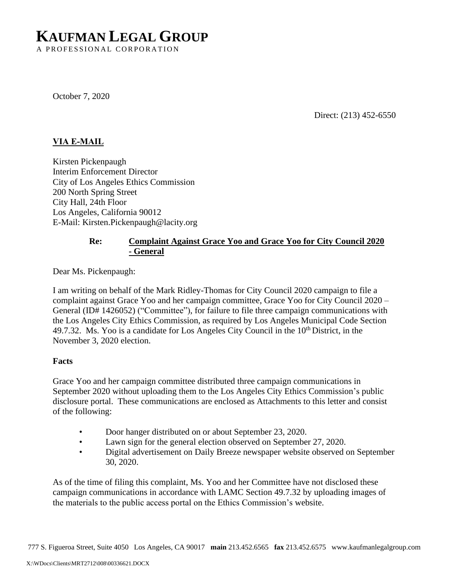# **KAUFMAN LEGAL GROUP**

A PROFESSIONAL CORPORATION

October 7, 2020

Direct: (213) 452-6550

## **VIA E-MAIL**

Kirsten Pickenpaugh Interim Enforcement Director City of Los Angeles Ethics Commission 200 North Spring Street City Hall, 24th Floor Los Angeles, California 90012 E-Mail: Kirsten.Pickenpaugh@lacity.org

## **Re: Complaint Against Grace Yoo and Grace Yoo for City Council 2020 - General**

Dear Ms. Pickenpaugh:

I am writing on behalf of the Mark Ridley-Thomas for City Council 2020 campaign to file a complaint against Grace Yoo and her campaign committee, Grace Yoo for City Council 2020 – General (ID# 1426052) ("Committee"), for failure to file three campaign communications with the Los Angeles City Ethics Commission, as required by Los Angeles Municipal Code Section 49.7.32. Ms. Yoo is a candidate for Los Angeles City Council in the 10<sup>th</sup> District, in the November 3, 2020 election.

#### **Facts**

Grace Yoo and her campaign committee distributed three campaign communications in September 2020 without uploading them to the Los Angeles City Ethics Commission's public disclosure portal. These communications are enclosed as Attachments to this letter and consist of the following:

- Door hanger distributed on or about September 23, 2020.
- Lawn sign for the general election observed on September 27, 2020.
- Digital advertisement on Daily Breeze newspaper website observed on September 30, 2020.

As of the time of filing this complaint, Ms. Yoo and her Committee have not disclosed these campaign communications in accordance with LAMC Section 49.7.32 by uploading images of the materials to the public access portal on the Ethics Commission's website.